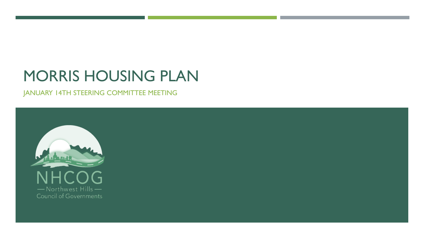# MORRIS HOUSING PLAN

JANUARY 14TH STEERING COMMITTEE MEETING

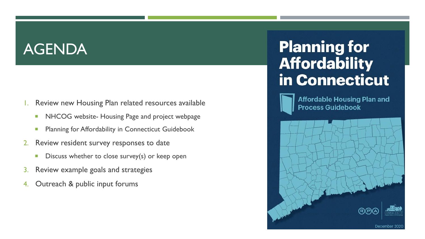# AGENDA

- 1. Review new Housing Plan related resources available
	- **NHCOG** website- Housing Page and project webpage
	- **Planning for Affordability in Connecticut Guidebook**
- 2. Review resident survey responses to date
	- **Discuss whether to close survey(s) or keep open**
- 3. Review example goals and strategies
- 4. Outreach & public input forums

# **Planning for Affordability** in Connecticut



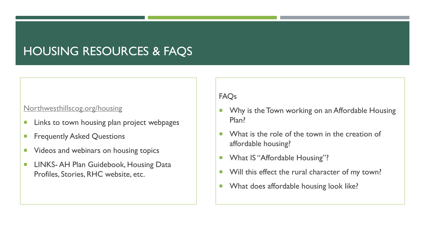## HOUSING RESOURCES & FAQS

### [Northwesthillscog.org/housing](https://northwesthillscog.org/housing/)

- **Links to town housing plan project webpages**
- **Filter Findmently Asked Questions**
- **Videos and webinars on housing topics**
- **LINKS- AH Plan Guidebook, Housing Data** Profiles, Stories, RHC website, etc.

### FAQs

- **Now 19 Marko Why is the Town working on an Affordable Housing** Plan?
- What is the role of the town in the creation of affordable housing?
- **No. 3 What IS "Affordable Housing"?**
- **Will this effect the rural character of my town?**
- **Notable 19 Millong** What does affordable housing look like?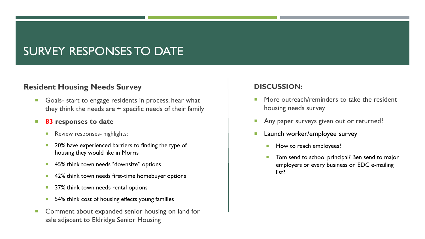## SURVEY RESPONSES TO DATE

### **Resident Housing Needs Survey**

Goals- start to engage residents in process, hear what they think the needs are + specific needs of their family

#### **83 responses to date**

- Review responses- highlights:
- 20% have experienced barriers to finding the type of housing they would like in Morris
- 45% think town needs "downsize" options
- 42% think town needs first-time homebuyer options
- 37% think town needs rental options
- 54% think cost of housing effects young families
- **Comment about expanded senior housing on land for** sale adjacent to Eldridge Senior Housing

### **DISCUSSION:**

- More outreach/reminders to take the resident housing needs survey
- Any paper surveys given out or returned?
- Launch worker/employee survey
	- How to reach employees?
	- Tom send to school principal? Ben send to major employers or every business on EDC e-mailing list?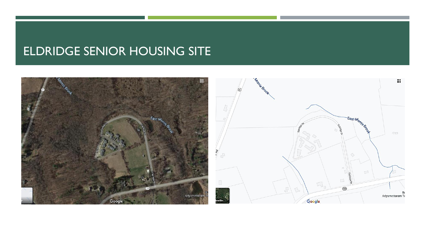## ELDRIDGE SENIOR HOUSING SITE

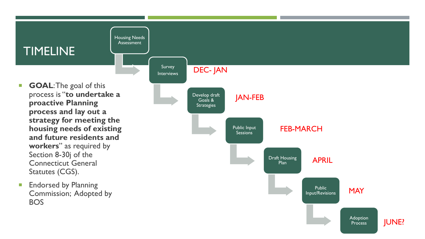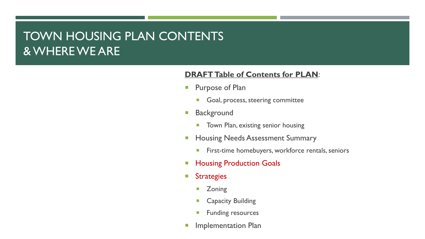# TOWN HOUSING PLAN CONTENTS & WHERE WE ARE

### **DRAFT Table of Contents for PLAN**:

- **Purpose of Plan** 
	- Goal, process, steering committee
- **Background** 
	- **Town Plan, existing senior housing**
- **Housing Needs Assessment Summary** 
	- **First-time homebuyers, workforce rentals, seniors**
- **Housing Production Goals**
- **Strategies** 
	- **Zoning**
	- **Capacity Building**
	- **Funding resources**
- Implementation Plan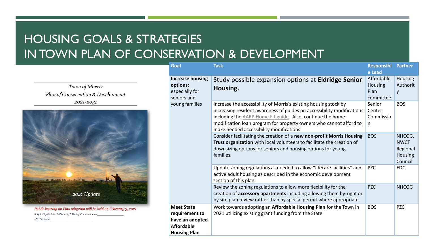# HOUSING GOALS & STRATEGIES IN TOWN PLAN OF CONSERVATION & DEVELOPMENT

Town of Morris Plan of Conservation & Development 2021-2031



Public hearing on Plan adoption will be held on February 3, 2021 Adopted by the Morris Planning & Zoning Commission on Effective Date:

| Goal                                                                                               | <b>Task</b>                                                                                                                                                                                                                                                                                                                | <b>Responsibl</b><br>e Lead                       | <b>Partner</b>                                          |
|----------------------------------------------------------------------------------------------------|----------------------------------------------------------------------------------------------------------------------------------------------------------------------------------------------------------------------------------------------------------------------------------------------------------------------------|---------------------------------------------------|---------------------------------------------------------|
| <b>Increase housing</b><br>options;<br>especially for<br>seniors and<br>young families             | Study possible expansion options at <b>Eldridge Senior</b><br>Housing.                                                                                                                                                                                                                                                     | Affordable<br><b>Housing</b><br>Plan<br>committee | Housing<br>Authorit<br>y                                |
|                                                                                                    | Increase the accessibility of Morris's existing housing stock by<br>increasing resident awareness of guides on accessibility modifications<br>including the AARP Home Fit guide. Also, continue the home<br>modification loan program for property owners who cannot afford to<br>make needed accessibility modifications. | Senior<br>Center<br>Commissio<br>n                | <b>BOS</b>                                              |
|                                                                                                    | Consider facilitating the creation of a new non-profit Morris Housing<br>Trust organization with local volunteers to facilitate the creation of<br>downsizing options for seniors and housing options for young<br>families.                                                                                               | <b>BOS</b>                                        | NHCOG,<br><b>NWCT</b><br>Regional<br>Housing<br>Council |
|                                                                                                    | Update zoning regulations as needed to allow "lifecare facilities" and<br>active adult housing as described in the economic development<br>section of this plan.                                                                                                                                                           | <b>PZC</b>                                        | <b>EDC</b>                                              |
|                                                                                                    | Review the zoning regulations to allow more flexibility for the<br>creation of accessory apartments including allowing them by-right or<br>by site plan review rather than by special permit where appropriate.                                                                                                            | <b>PZC</b>                                        | <b>NHCOG</b>                                            |
| <b>Meet State</b><br>requirement to<br>have an adopted<br><b>Affordable</b><br><b>Housing Plan</b> | Work towards adopting an Affordable Housing Plan for the Town in<br>2021 utilizing existing grant funding from the State.                                                                                                                                                                                                  | <b>BOS</b>                                        | <b>PZC</b>                                              |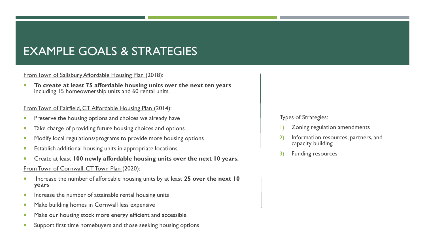# EXAMPLE GOALS & STRATEGIES

#### From Town of Salisbury Affordable Housing Plan (2018):

**To create at least 75 affordable housing units over the next ten years** including 15 homeownership units and 60 rental units.

#### From Town of Fairfield, CT Affordable Housing Plan (2014):

- **Preserve the housing options and choices we already have**
- **Take charge of providing future housing choices and options**
- Modify local regulations/programs to provide more housing options
- **Establish additional housing units in appropriate locations.**
- Create at least **100 newly affordable housing units over the next 10 years.**

#### From Town of Cornwall, CT Town Plan (2020):

- Increase the number of affordable housing units by at least 25 over the next 10 **years**
- $\blacksquare$  Increase the number of attainable rental housing units
- **Make building homes in Cornwall less expensive**
- Make our housing stock more energy efficient and accessible
- **Support first time homebuyers and those seeking housing options**

#### Types of Strategies:

- Zoning regulation amendments
- 2) Information resources, partners, and capacity building
- 3) Funding resources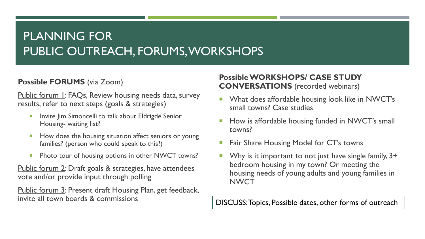# PLANNING FOR PUBLIC OUTREACH, FORUMS, WORKSHOPS

### **Possible FORUMS** (via Zoom)

Public forum 1: FAQs, Review housing needs data, survey results, refer to next steps (goals & strategies)

- **Invite Jim Simoncelli to talk about Eldrigde Senior** Housing- waiting list?
- **How does the housing situation affect seniors or young** families? (person who could speak to this?)
- **Photo tour of housing options in other NWCT towns?**

Public forum 2: Draft goals & strategies, have attendees vote and/or provide input through polling

Public forum 3: Present draft Housing Plan, get feedback, invite all town boards & commissions

### **Possible WORKSHOPS/ CASE STUDY CONVERSATIONS** (recorded webinars)

- **Notable 10 Millong 12 Millong Starts III Arrow West 10 MINUT's** small towns? Case studies
- How is affordable housing funded in NWCT's small towns?
- Fair Share Housing Model for CT's towns
- Why is it important to not just have single family,  $3+$ bedroom housing in my town? Or meeting the housing needs of young adults and young families in **NWCT**

DISCUSS: Topics, Possible dates, other forms of outreach